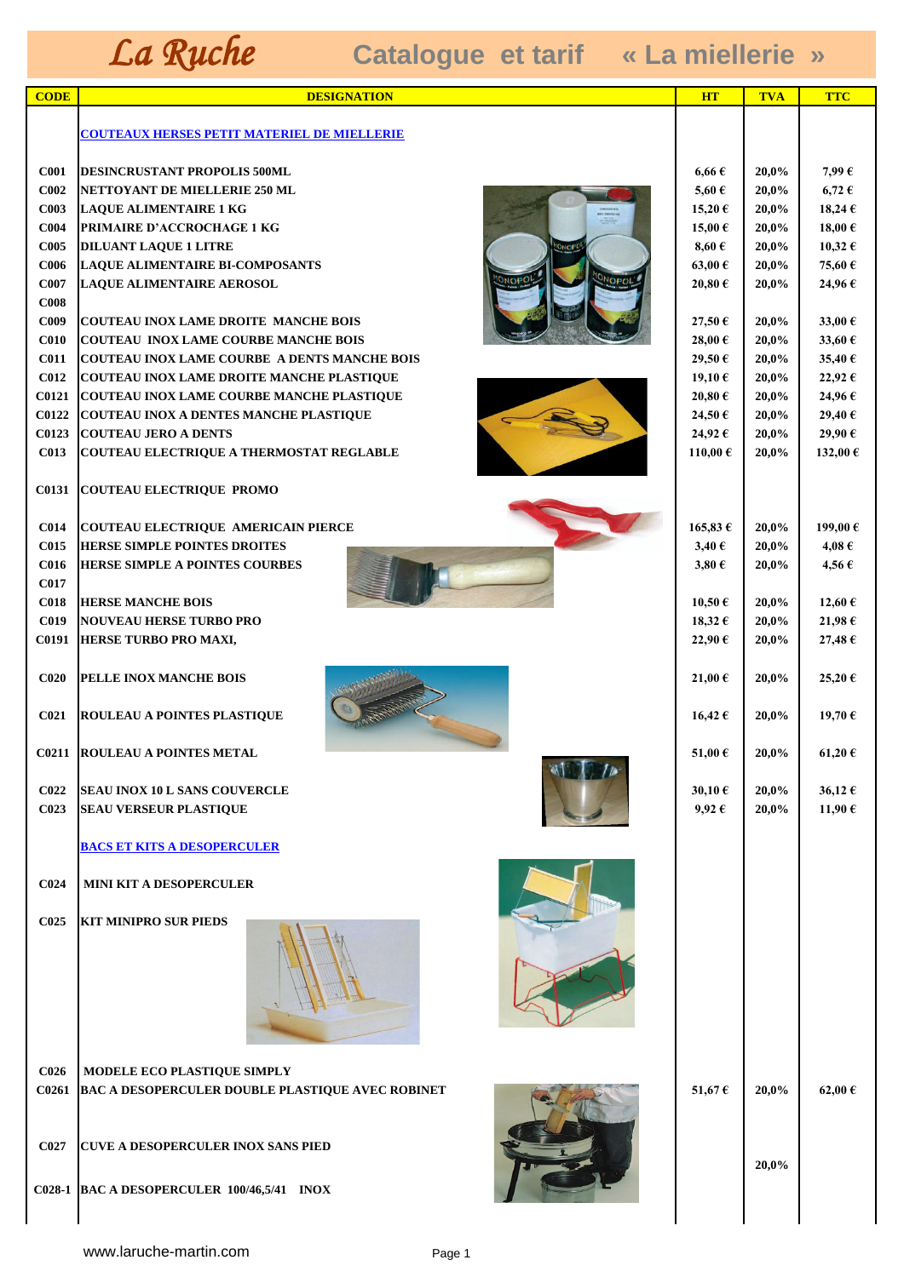| <b>CODE</b>              | <b>DESIGNATION</b>                                         | <b>HT</b>       | <b>TVA</b> | <b>TTC</b> |
|--------------------------|------------------------------------------------------------|-----------------|------------|------------|
|                          | <b>COUTEAUX HERSES PETIT MATERIEL DE MIELLERIE</b>         |                 |            |            |
|                          |                                                            |                 |            |            |
| <b>C001</b>              | <b>DESINCRUSTANT PROPOLIS 500ML</b>                        | $6,66 \in$      | 20,0%      | 7,99€      |
| C002                     | NETTOYANT DE MIELLERIE 250 ML                              | 5,60 $\epsilon$ | 20,0%      | $6,72 \in$ |
| C003                     | <b>LAQUE ALIMENTAIRE 1 KG</b>                              | 15,20€          | 20,0%      | 18,24€     |
| <b>C004</b>              | PRIMAIRE D'ACCROCHAGE 1 KG                                 | 15,00€          | 20,0%      | 18,00€     |
| <b>C005</b>              | <b>DILUANT LAQUE 1 LITRE</b>                               | $8,60 \in$      | 20,0%      | 10,32 €    |
| C <sub>006</sub>         | <b>LAQUE ALIMENTAIRE BI-COMPOSANTS</b>                     | 63,00 €         | 20,0%      | 75,60€     |
| C007<br>C <sub>008</sub> | ONOPOL<br><b>JNOPO</b><br><b>LAQUE ALIMENTAIRE AEROSOL</b> | 20,80€          | 20,0%      | 24,96€     |
| C009                     | <b>COUTEAU INOX LAME DROITE MANCHE BOIS</b>                | 27,50 €         | 20,0%      | 33,00 €    |
| C <sub>010</sub>         | <b>COUTEAU INOX LAME COURBE MANCHE BOIS</b>                | 28,00€          | 20,0%      | 33,60 €    |
| C <sub>011</sub>         | <b>COUTEAU INOX LAME COURBE A DENTS MANCHE BOIS</b>        | 29,50€          | 20,0%      | 35,40€     |
| <b>C012</b>              | <b>COUTEAU INOX LAME DROITE MANCHE PLASTIQUE</b>           | 19,10€          | 20,0%      | 22,92€     |
| <b>C0121</b>             | COUTEAU INOX LAME COURBE MANCHE PLASTIQUE                  | 20,80€          | 20,0%      | 24,96€     |
| C0122                    | <b>COUTEAU INOX A DENTES MANCHE PLASTIQUE</b>              | 24,50€          | 20,0%      | 29,40 €    |
| C0123                    | <b>COUTEAU JERO A DENTS</b>                                | 24,92€          | 20,0%      | 29,90€     |
| C013                     | COUTEAU ELECTRIQUE A THERMOSTAT REGLABLE                   | 110,00€         | 20,0%      | 132,00 €   |
|                          |                                                            |                 |            |            |
| <b>C0131</b>             | <b>COUTEAU ELECTRIQUE PROMO</b>                            |                 |            |            |
| <b>C014</b>              | COUTEAU ELECTRIQUE AMERICAIN PIERCE                        | 165,83€         | 20,0%      | 199,00€    |
| <b>C015</b>              | <b>HERSE SIMPLE POINTES DROITES</b>                        | $3,40 \in$      | 20,0%      | $4,08 \in$ |
| <b>C016</b>              | HERSE SIMPLE A POINTES COURBES                             | $3,80 \in$      | 20,0%      | 4,56€      |
| <b>C017</b>              |                                                            |                 |            |            |
| <b>C018</b>              | <b>HERSE MANCHE BOIS</b>                                   | 10,50€          | 20,0%      | 12,60 €    |
| <b>C019</b>              | <b>NOUVEAU HERSE TURBO PRO</b>                             | 18,32 €         | 20,0%      | 21,98€     |
| <b>C0191</b>             | HERSE TURBO PRO MAXI,                                      | 22,90€          | 20,0%      | 27,48€     |
| C <sub>020</sub>         | PELLE INOX MANCHE BOIS                                     | 21,00 €         | 20,0%      | 25,20€     |
| C <sub>021</sub>         | <b>ROULEAU A POINTES PLASTIQUE</b>                         | 16,42 €         | 20,0%      | 19,70€     |
|                          | <b>C0211 ROULEAU A POINTES METAL</b>                       | 51,00€          | 20,0%      | 61,20€     |
| C <sub>022</sub>         | <b>SEAU INOX 10 L SANS COUVERCLE</b>                       | 30,10€          | 20,0%      | 36,12 €    |
| C <sub>023</sub>         | <b>SEAU VERSEUR PLASTIQUE</b>                              | $9,92 \in$      | 20,0%      | 11,90€     |
|                          |                                                            |                 |            |            |
|                          | <u>BACS ET KITS A DESOPERCULER</u>                         |                 |            |            |
| C <sub>024</sub>         | MINI KIT A DESOPERCULER                                    |                 |            |            |
| C <sub>025</sub>         | <b>KIT MINIPRO SUR PIEDS</b>                               |                 |            |            |
|                          |                                                            |                 |            |            |
| C <sub>026</sub>         | MODELE ECO PLASTIQUE SIMPLY                                |                 |            |            |
| C0261                    | <b>BAC A DESOPERCULER DOUBLE PLASTIQUE AVEC ROBINET</b>    | 51,67€          | 20,0%      | 62,00 €    |
|                          |                                                            |                 |            |            |
|                          |                                                            |                 |            |            |
| C027                     | <b>CUVE A DESOPERCULER INOX SANS PIED</b>                  |                 |            |            |
|                          |                                                            |                 | 20,0%      |            |
|                          | C028-1  BAC A DESOPERCULER 100/46,5/41 INOX                |                 |            |            |
|                          |                                                            |                 |            |            |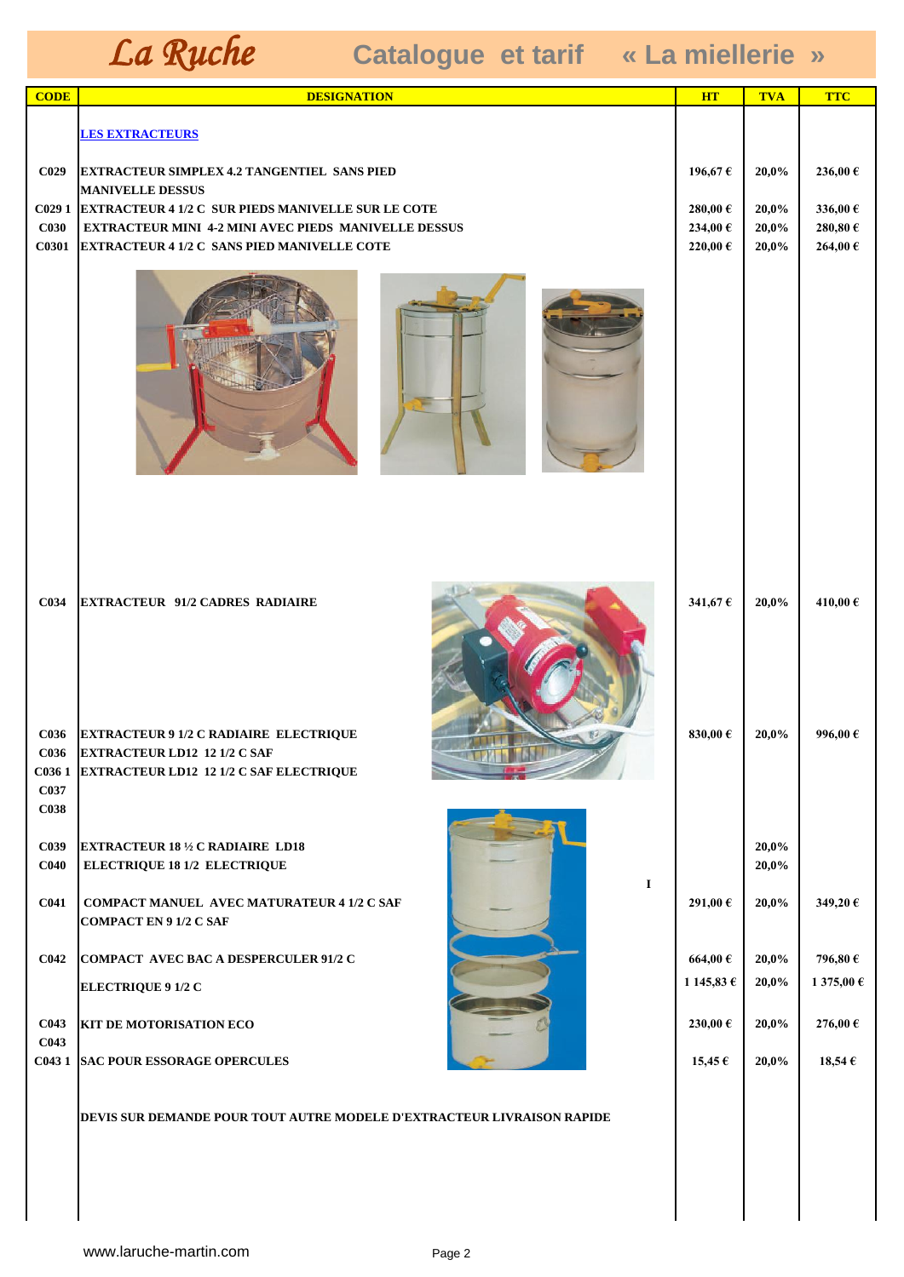| <b>CODE</b>                                  | <b>DESIGNATION</b>                                                                                                                                                             | <b>HT</b>                     | <b>TVA</b>              | <b>TTC</b>                    |
|----------------------------------------------|--------------------------------------------------------------------------------------------------------------------------------------------------------------------------------|-------------------------------|-------------------------|-------------------------------|
|                                              | <b>LES EXTRACTEURS</b>                                                                                                                                                         |                               |                         |                               |
| C <sub>029</sub>                             | <b>EXTRACTEUR SIMPLEX 4.2 TANGENTIEL SANS PIED</b><br><b>MANIVELLE DESSUS</b>                                                                                                  | 196,67€                       | 20,0%                   | 236,00€                       |
| C <sub>029</sub> 1<br><b>C030</b><br>C0301   | <b>EXTRACTEUR 4 1/2 C SUR PIEDS MANIVELLE SUR LE COTE</b><br><b>EXTRACTEUR MINI 4-2 MINI AVEC PIEDS MANIVELLE DESSUS</b><br><b>EXTRACTEUR 4 1/2 C SANS PIED MANIVELLE COTE</b> | 280,00€<br>234,00€<br>220,00€ | 20,0%<br>20,0%<br>20,0% | 336,00€<br>280,80€<br>264,00€ |
|                                              |                                                                                                                                                                                |                               |                         |                               |
| C034<br><b>C036</b>                          | <b>EXTRACTEUR 91/2 CADRES RADIAIRE</b><br><b>EXTRACTEUR 9 1/2 C RADIAIRE ELECTRIQUE</b>                                                                                        | 341,67€<br>830,00€            | 20,0%<br>20,0%          | 410,00€<br>996,00€            |
| <b>C036</b><br>C <sub>037</sub>              | <b>EXTRACTEUR LD12 12 1/2 C SAF</b><br><u>and a familiar</u><br>C036 1 EXTRACTEUR LD12 12 1/2 C SAF ELECTRIQUE                                                                 |                               |                         |                               |
| C <sub>038</sub><br>C039<br>C <sub>040</sub> | <b>EXTRACTEUR 18 1/2 C RADIAIRE LD18</b><br><b>ELECTRIQUE 18 1/2 ELECTRIQUE</b>                                                                                                |                               | 20,0%<br>20,0%          |                               |
| C <sub>041</sub>                             | $\bf{I}$<br><b>COMPACT MANUEL AVEC MATURATEUR 4 1/2 C SAF</b><br><b>COMPACT EN 9 1/2 C SAF</b>                                                                                 | 291,00€                       | 20,0%                   | 349,20€                       |
| C <sub>042</sub>                             | COMPACT AVEC BAC A DESPERCULER 91/2 C                                                                                                                                          | 664,00€                       | 20,0%                   | 796,80€                       |
|                                              | <b>ELECTRIQUE 9 1/2 C</b>                                                                                                                                                      | 1 145,83 €                    | 20,0%                   | 1 375,00 €                    |
| C <sub>043</sub><br>C <sub>043</sub>         | <b>KIT DE MOTORISATION ECO</b>                                                                                                                                                 | 230,00€                       | 20,0%                   | 276,00€                       |
| C0431                                        | <b>SAC POUR ESSORAGE OPERCULES</b>                                                                                                                                             | $15,45 \in$                   | 20,0%                   | 18,54 $\epsilon$              |
|                                              | DEVIS SUR DEMANDE POUR TOUT AUTRE MODELE D'EXTRACTEUR LIVRAISON RAPIDE                                                                                                         |                               |                         |                               |
|                                              |                                                                                                                                                                                |                               |                         |                               |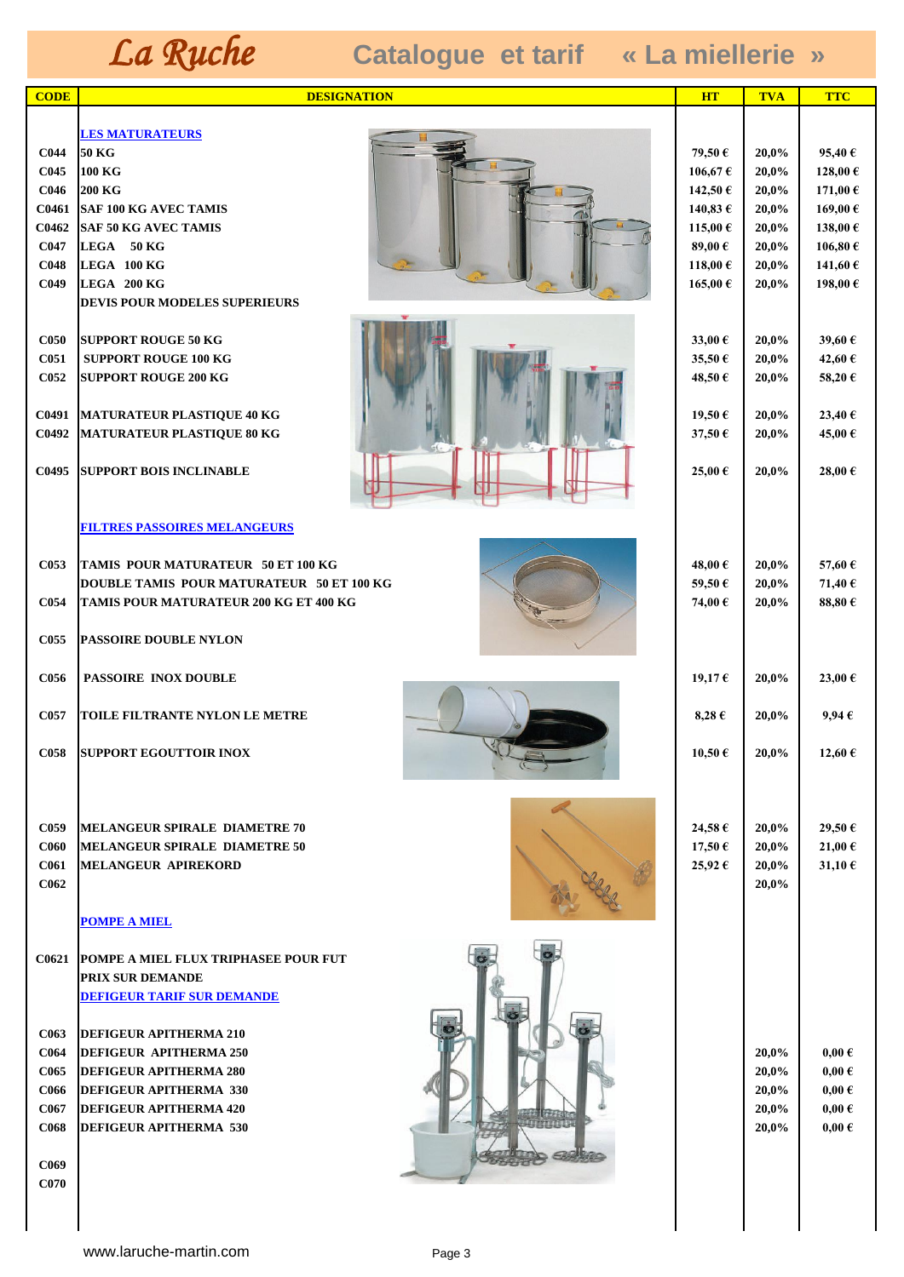| <b>CODE</b>                          | <b>DESIGNATION</b>                                        | <b>HT</b>            | <b>TVA</b>     | <b>TTC</b>         |
|--------------------------------------|-----------------------------------------------------------|----------------------|----------------|--------------------|
|                                      |                                                           |                      |                |                    |
|                                      | <b>LES MATURATEURS</b>                                    |                      |                |                    |
| <b>C044</b>                          | 50 KG                                                     | 79,50 €              | 20,0%          | 95,40 $\epsilon$   |
| C <sub>045</sub>                     | 100 KG                                                    | 106,67€              | 20,0%          | 128,00€            |
| <b>C046</b><br>C0461                 | <b>200 KG</b><br><b>SAF 100 KG AVEC TAMIS</b>             | 142,50 €<br>140,83 € | 20,0%<br>20,0% | 171,00€<br>169,00€ |
| C0462                                | <b>SAF 50 KG AVEC TAMIS</b>                               | 115,00 €             | 20,0%          | 138,00€            |
| C047                                 | LEGA 50 KG                                                | 89,00€               | 20,0%          | 106,80€            |
| <b>C048</b>                          | LEGA 100 KG                                               | 118,00€              | 20,0%          | 141,60€            |
| C <sub>049</sub>                     | LEGA 200 KG                                               | 165,00 €             | 20,0%          | 198,00€            |
|                                      | <b>DEVIS POUR MODELES SUPERIEURS</b>                      |                      |                |                    |
|                                      |                                                           |                      |                |                    |
| <b>C050</b><br>C <sub>051</sub>      | <b>SUPPORT ROUGE 50 KG</b><br><b>SUPPORT ROUGE 100 KG</b> | 33,00 €<br>35,50€    | 20,0%<br>20,0% | 39,60 €<br>42,60€  |
| <b>C052</b>                          | <b>SUPPORT ROUGE 200 KG</b>                               | 48,50€               | 20,0%          | 58,20€             |
|                                      |                                                           |                      |                |                    |
| C0491                                | MATURATEUR PLASTIQUE 40 KG                                | 19,50 €              | 20,0%          | 23,40 €            |
| C0492                                | MATURATEUR PLASTIQUE 80 KG                                | 37,50€               | 20,0%          | 45,00€             |
|                                      |                                                           |                      |                |                    |
| C0495                                | <b>SUPPORT BOIS INCLINABLE</b>                            | 25,00€               | 20,0%          | 28,00€             |
|                                      |                                                           |                      |                |                    |
|                                      | <b>FILTRES PASSOIRES MELANGEURS</b>                       |                      |                |                    |
|                                      |                                                           |                      |                |                    |
| C053                                 | TAMIS POUR MATURATEUR 50 ET 100 KG                        | 48,00€               | 20,0%          | 57,60€             |
|                                      | <b>DOUBLE TAMIS POUR MATURATEUR 50 ET 100 KG</b>          | 59,50€               | 20,0%          | 71,40€             |
| <b>C054</b>                          | TAMIS POUR MATURATEUR 200 KG ET 400 KG                    | 74,00€               | 20,0%          | 88,80 $\epsilon$   |
| <b>C055</b>                          | <b>PASSOIRE DOUBLE NYLON</b>                              |                      |                |                    |
|                                      |                                                           |                      |                |                    |
| <b>C056</b>                          | <b>PASSOIRE INOX DOUBLE</b>                               | 19,17€               | 20,0%          | 23,00 €            |
|                                      |                                                           |                      |                |                    |
| C057                                 | TOILE FILTRANTE NYLON LE METRE                            | 8,28 $\epsilon$      | 20,0%          | 9.94E              |
| <b>C058</b>                          | <b>SUPPORT EGOUTTOIR INOX</b>                             | 10,50 €              | 20,0%          | 12,60 €            |
|                                      |                                                           |                      |                |                    |
|                                      |                                                           |                      |                |                    |
|                                      |                                                           |                      |                |                    |
| <b>C059</b>                          | MELANGEUR SPIRALE DIAMETRE 70                             | 24,58€               | 20,0%          | 29,50€             |
| <b>C060</b>                          | <b>IMELANGEUR SPIRALE DIAMETRE 50</b>                     | 17,50€               | 20,0%          | 21,00€             |
| C <sub>061</sub><br>C <sub>062</sub> | <b>MELANGEUR APIREKORD</b>                                | 25,92€               | 20,0%<br>20,0% | 31,10€             |
|                                      |                                                           |                      |                |                    |
|                                      | <b>POMPE A MIEL</b>                                       |                      |                |                    |
|                                      |                                                           |                      |                |                    |
|                                      | <b>C0621 POMPE A MIEL FLUX TRIPHASEE POUR FUT</b>         |                      |                |                    |
|                                      | PRIX SUR DEMANDE                                          |                      |                |                    |
|                                      | <b>DEFIGEUR TARIF SUR DEMANDE</b>                         |                      |                |                    |
| <b>C063</b>                          | <b>DEFIGEUR APITHERMA 210</b>                             |                      |                |                    |
| <b>C064</b>                          | <b>DEFIGEUR APITHERMA 250</b>                             |                      | 20,0%          | $0,00 \in$         |
| <b>C065</b>                          | <b>DEFIGEUR APITHERMA 280</b>                             |                      | 20,0%          | $0,00 \in$         |
| <b>C066</b>                          | <b>DEFIGEUR APITHERMA 330</b>                             |                      | 20,0%          | $0,00 \in$         |
| C067                                 | <b>DEFIGEUR APITHERMA 420</b>                             |                      | 20,0%          | $0,00 \in$         |
| <b>C068</b>                          | <b>DEFIGEUR APITHERMA 530</b>                             |                      | 20,0%          | $0,00 \in$         |
|                                      |                                                           |                      |                |                    |
| C <sub>069</sub><br>C <sub>070</sub> |                                                           |                      |                |                    |
|                                      |                                                           |                      |                |                    |
|                                      |                                                           |                      |                |                    |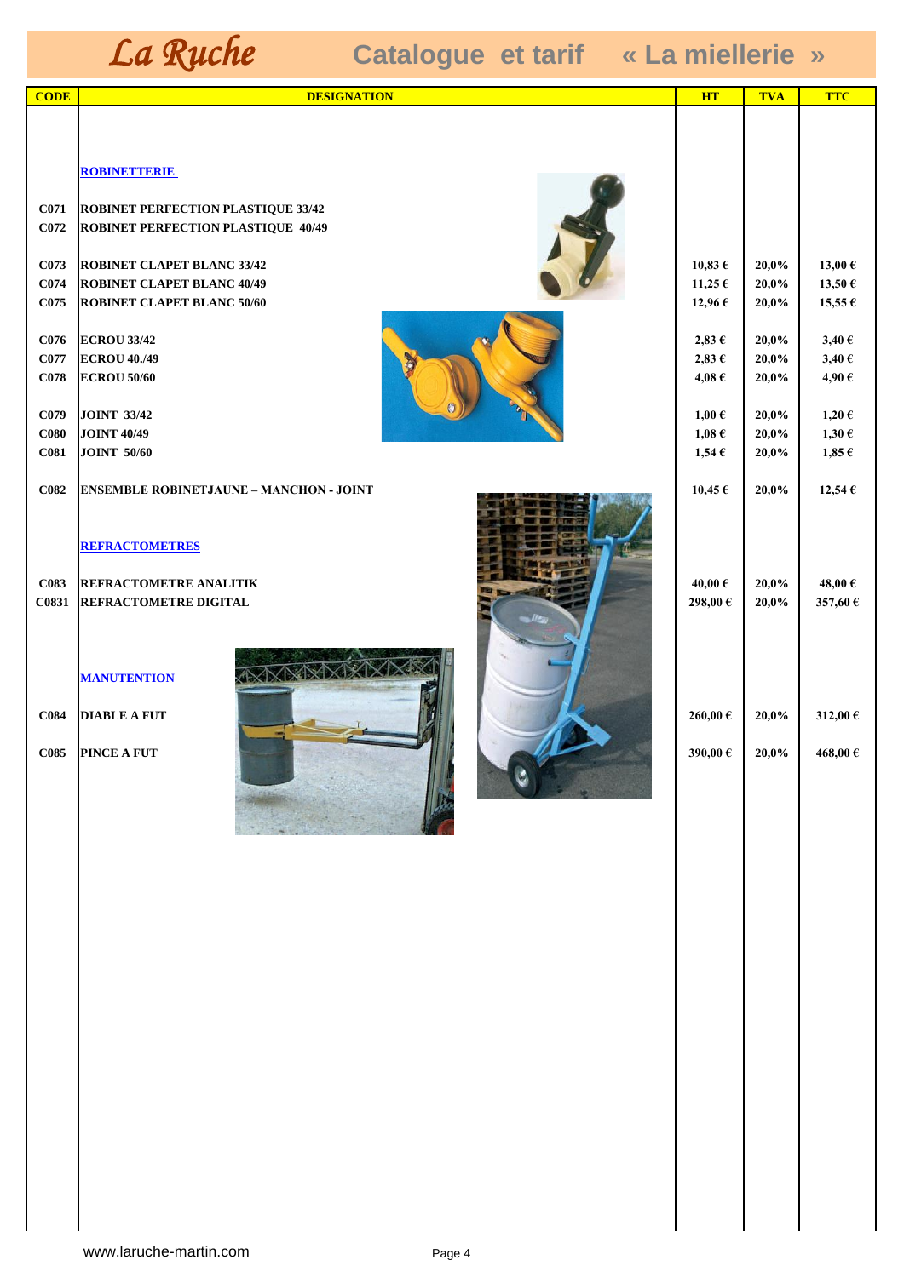| <b>CODE</b>              | <b>DESIGNATION</b>                             | <b>HT</b>           | <b>TVA</b>     | <b>TTC</b>               |
|--------------------------|------------------------------------------------|---------------------|----------------|--------------------------|
|                          |                                                |                     |                |                          |
|                          |                                                |                     |                |                          |
|                          |                                                |                     |                |                          |
|                          | <b>ROBINETTERIE</b>                            |                     |                |                          |
| <b>C071</b>              | <b>ROBINET PERFECTION PLASTIQUE 33/42</b>      |                     |                |                          |
| C <sub>072</sub>         | <b>ROBINET PERFECTION PLASTIQUE 40/49</b>      |                     |                |                          |
|                          |                                                |                     |                |                          |
| C073                     | <b>ROBINET CLAPET BLANC 33/42</b>              | $10,83 \in$         | 20,0%          | 13,00 $\epsilon$         |
| C <sub>074</sub>         | <b>ROBINET CLAPET BLANC 40/49</b>              | 11,25 $\epsilon$    | 20,0%          | 13,50 $\epsilon$         |
| C <sub>075</sub>         | <b>ROBINET CLAPET BLANC 50/60</b>              | 12,96 $\epsilon$    | 20,0%          | 15,55 $\epsilon$         |
|                          |                                                |                     |                |                          |
| C <sub>076</sub><br>C077 | <b>ECROU 33/42</b>                             | $2,83 \in$          | 20,0%<br>20,0% | 3,40 $\epsilon$          |
| C <sub>078</sub>         | <b>ECROU 40./49</b><br><b>ECROU 50/60</b>      | 2,83€<br>4,08 $\in$ | 20,0%          | 3,40 $\epsilon$<br>4,90€ |
|                          |                                                |                     |                |                          |
| C <sub>079</sub>         | <b>JOINT 33/42</b>                             | $1,00 \in$          | 20,0%          | $1,20 \in$               |
| $\bf C080$               | <b>JOINT 40/49</b>                             | $1{,}08 \in$        | 20,0%          | $1,30 \in$               |
| C <sub>081</sub>         | <b>JOINT 50/60</b>                             | $1,54 \in$          | 20,0%          | $1,85 \in$               |
|                          |                                                |                     |                |                          |
| C082                     | <b>ENSEMBLE ROBINETJAUNE - MANCHON - JOINT</b> | 10,45 $\epsilon$    | 20,0%          | $12,54 \in$              |
|                          |                                                |                     |                |                          |
|                          | <b>REFRACTOMETRES</b>                          |                     |                |                          |
|                          |                                                |                     |                |                          |
| C083                     | REFRACTOMETRE ANALITIK                         | 40,00 $\in$         | 20,0%          | 48,00€                   |
| C0831                    | REFRACTOMETRE DIGITAL                          | 298,00€             | 20,0%          | 357,60€                  |
|                          |                                                |                     |                |                          |
|                          |                                                |                     |                |                          |
|                          | AXXX<br><b>MANUTENTION</b>                     |                     |                |                          |
|                          |                                                |                     |                |                          |
| C084                     | <b>DIABLE A FUT</b>                            | 260,00€             | 20,0%          | 312,00€                  |
|                          |                                                |                     |                |                          |
|                          | <b>C085 PINCE A FUT</b>                        | 390,00€             | 20.0%          | 468,00€                  |
|                          |                                                |                     |                |                          |
|                          |                                                |                     |                |                          |
|                          |                                                |                     |                |                          |
|                          |                                                |                     |                |                          |
|                          |                                                |                     |                |                          |
|                          |                                                |                     |                |                          |
|                          |                                                |                     |                |                          |
|                          |                                                |                     |                |                          |
|                          |                                                |                     |                |                          |
|                          |                                                |                     |                |                          |
|                          |                                                |                     |                |                          |
|                          |                                                |                     |                |                          |
|                          |                                                |                     |                |                          |